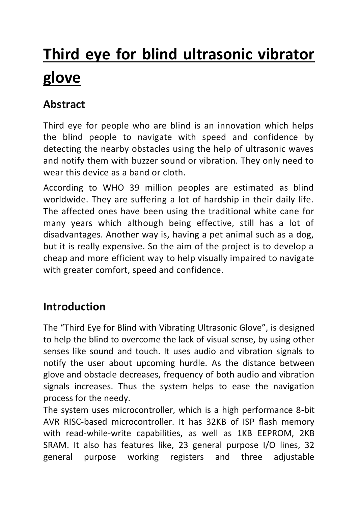# **Third eye for blind ultrasonic vibrator glove**

# **Abstract**

Third eye for people who are blind is an innovation which helps the blind people to navigate with speed and confidence by detecting the nearby obstacles using the help of ultrasonic waves and notify them with buzzer sound or vibration. They only need to wear this device as a band or cloth.

According to WHO 39 million peoples are estimated as blind worldwide. They are suffering a lot of hardship in their daily life. The affected ones have been using the traditional white cane for many years which although being effective, still has a lot of disadvantages. Another way is, having a pet animal such as a dog, but it is really expensive. So the aim of the project is to develop a cheap and more efficient way to help visually impaired to navigate with greater comfort, speed and confidence.

### **Introduction**

The "Third Eye for Blind with Vibrating Ultrasonic Glove", is designed to help the blind to overcome the lack of visual sense, by using other senses like sound and touch. It uses audio and vibration signals to notify the user about upcoming hurdle. As the distance between glove and obstacle decreases, frequency of both audio and vibration signals increases. Thus the system helps to ease the navigation process for the needy.

The system uses microcontroller, which is a high performance 8-bit AVR RISC-based microcontroller. It has 32KB of ISP flash memory with read-while-write capabilities, as well as 1KB EEPROM, 2KB SRAM. It also has features like, 23 general purpose I/O lines, 32 general purpose working registers and three adjustable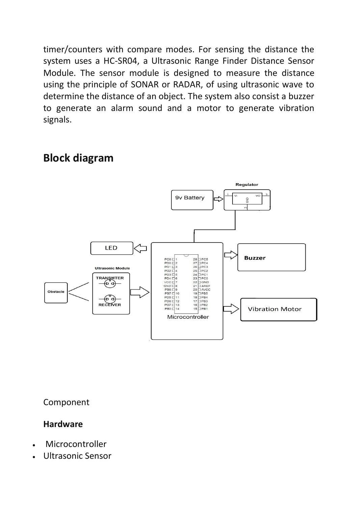timer/counters with compare modes. For sensing the distance the system uses a HC-SR04, a Ultrasonic Range Finder Distance Sensor Module. The sensor module is designed to measure the distance using the principle of SONAR or RADAR, of using ultrasonic wave to determine the distance of an object. The system also consist a buzzer to generate an alarm sound and a motor to generate vibration signals.

#### Regulator 9v Battery **SND** LED ˈ⊐ **Buzzer** PC6 D PDO C2<br>PD1 C3 **Ultrasonic Module** PD2 E 4<br>PD3 E 5<br>PD4 E 6<br>VCC E 7 TRANSMTER (စိ ရဲ  $GNDC8$ PB6 E9<br>PB7 E 10<br>PD5 E 11 Obstacle  $\mathfrak{g}_{\mathsf{q}}$  $PDS \Box 12$ RECEIVER  $16$   $\begin{array}{c} 16 \\ 16 \\ 15 \end{array}$   $\begin{array}{c} 16 \\ 17 \\ 18 \end{array}$  $PD7 \square$ 13 PB0 L 14 **Vibration Motor** Microcontroller

**Block diagram**

Component

### **Hardware**

- Microcontroller
- Ultrasonic Sensor